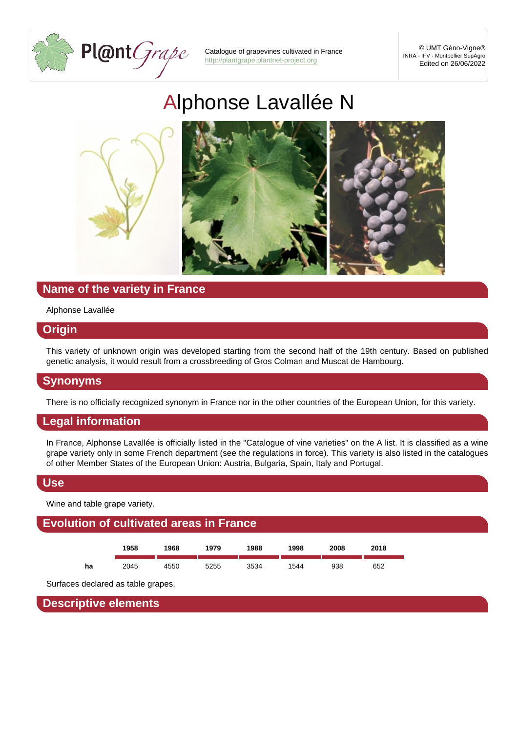# Alph[onse Lavallé](http://plantgrape.plantnet-project.org)e N

# Name of the variety in France

Alphonse Lavallée

#### **Origin**

This variety of unknown origin was developed starting from the second half of the 19th century. Based on published genetic analysis, it would result from a crossbreeding of Gros Colman and Muscat de Hambourg.

#### Synonyms

There is no officially recognized synonym in France nor in the other countries of the European Union, for this variety.

#### Legal information

In France, Alphonse Lavallée is officially listed in the "Catalogue of vine varieties" on the A list. It is classified as a wine grape variety only in some French department (see the regulations in force). This variety is also listed in the catalogues of other Member States of the European Union: Austria, Bulgaria, Spain, Italy and Portugal.

#### Use

Wine and table grape variety.

## Evolution of cultivated areas in France



Surfaces declared as table grapes.

Descriptive elements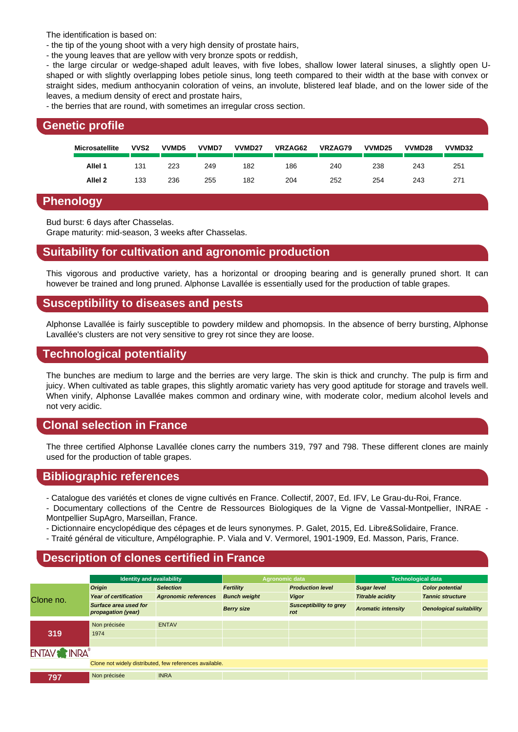- the tip of the young shoot with a very high density of prostate hairs,

- the young leaves that are yellow with very bronze spots or reddish,

- the large circular or wedge-shaped adult leaves, with five lobes, shallow lower lateral sinuses, a slightly open Ushaped or with slightly overlapping lobes petiole sinus, long teeth compared to their width at the base with convex or straight sides, medium anthocyanin coloration of veins, an involute, blistered leaf blade, and on the lower side of the leaves, a medium density of erect and prostate hairs,

- the berries that are round, with sometimes an irregular cross section.

| Genetic profile |                    |                  |                   |       |                    |         |         |                    |        |        |  |
|-----------------|--------------------|------------------|-------------------|-------|--------------------|---------|---------|--------------------|--------|--------|--|
|                 | Microsatellite     | VVS <sub>2</sub> | VVMD <sub>5</sub> | VVMD7 | VVMD <sub>27</sub> | VRZAG62 | VRZAG79 | VVMD <sub>25</sub> | VVMD28 | VVMD32 |  |
|                 | Allel 1            | 131              | 223               | 249   | 182                | 186     | 240     | 238                | 243    | 251    |  |
|                 | Allel <sub>2</sub> | 133              | 236               | 255   | 182                | 204     | 252     | 254                | 243    | 271    |  |

#### Phenology

Bud burst: 6 days after Chasselas.

Grape maturity: mid-season, 3 weeks after Chasselas.

## Suitability for cultivation and agronomic production

This vigorous and productive variety, has a horizontal or drooping bearing and is generally pruned short. It can however be trained and long pruned. Alphonse Lavallée is essentially used for the production of table grapes.

#### Susceptibility to diseases and pests

Alphonse Lavallée is fairly susceptible to powdery mildew and phomopsis. In the absence of berry bursting, Alphonse Lavallée's clusters are not very sensitive to grey rot since they are loose.

#### Technological potentiality

The bunches are medium to large and the berries are very large. The skin is thick and crunchy. The pulp is firm and juicy. When cultivated as table grapes, this slightly aromatic variety has very good aptitude for storage and travels well. When vinify, Alphonse Lavallée makes common and ordinary wine, with moderate color, medium alcohol levels and not very acidic.

## Clonal selection in France

The three certified Alphonse Lavallée clones carry the numbers 319, 797 and 798. These different clones are mainly used for the production of table grapes.

#### Bibliographic references

- Catalogue des variétés et clones de vigne cultivés en France. Collectif, 2007, Ed. IFV, Le Grau-du-Roi, France.

- Documentary collections of the Centre de Ressources Biologiques de la Vigne de Vassal-Montpellier, INRAE Montpellier SupAgro, Marseillan, France.
- Dictionnaire encyclopédique des cépages et de leurs synonymes. P. Galet, 2015, Ed. Libre&Solidaire, France.
- Traité général de viticulture, Ampélographie. P. Viala and V. Vermorel, 1901-1909, Ed. Masson, Paris, France.

#### Description of clones certified in France

|           | Identity and availability                               |                      | Agronomic data      |                               | <b>Technological data</b> |                         |  |  |  |
|-----------|---------------------------------------------------------|----------------------|---------------------|-------------------------------|---------------------------|-------------------------|--|--|--|
|           | Origin                                                  | Selection            | Fertility           | <b>Production level</b>       | Sugar level               | <b>Color potential</b>  |  |  |  |
| Clone no. | Year of certification                                   | Agronomic references | <b>Bunch weight</b> | Vigor                         | <b>Titrable acidity</b>   | <b>Tannic structure</b> |  |  |  |
|           | Surface area used for<br>propagation (year)             |                      | Berry size          | Susceptibility to grey<br>rot | Aromatic intensity        | Oenological suitability |  |  |  |
|           | Non précisée                                            | <b>ENTAV</b>         |                     |                               |                           |                         |  |  |  |
| 319       | 1974                                                    |                      |                     |                               |                           |                         |  |  |  |
|           |                                                         |                      |                     |                               |                           |                         |  |  |  |
|           |                                                         |                      |                     |                               |                           |                         |  |  |  |
|           | Clone not widely distributed, few references available. |                      |                     |                               |                           |                         |  |  |  |
| 797       | Non précisée                                            | <b>INRA</b>          |                     |                               |                           |                         |  |  |  |